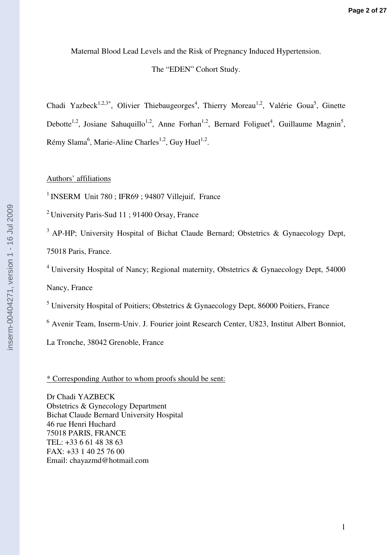Maternal Blood Lead Levels and the Risk of Pregnancy Induced Hypertension.

## The "EDEN" Cohort Study.

Chadi Yazbeck<sup>1,2,3\*</sup>, Olivier Thiebaugeorges<sup>4</sup>, Thierry Moreau<sup>1,2</sup>, Valérie Goua<sup>5</sup>, Ginette Debotte<sup>1,2</sup>, Josiane Sahuquillo<sup>1,2</sup>, Anne Forhan<sup>1,2</sup>, Bernard Foliguet<sup>4</sup>, Guillaume Magnin<sup>5</sup>, Rémy Slama<sup>6</sup>, Marie-Aline Charles<sup>1,2</sup>, Guy Huel<sup>1,2</sup>.

## Authors' affiliations

 $1$  INSERM Unit 780 : IFR69 : 94807 Villejuif, France

<sup>2</sup>University Paris-Sud 11 ; 91400 Orsay, France

 $3$  AP-HP; University Hospital of Bichat Claude Bernard; Obstetrics & Gynaecology Dept,

75018 Paris, France.

 $4$  University Hospital of Nancy; Regional maternity, Obstetrics & Gynaecology Dept, 54000

Nancy, France

<sup>5</sup> University Hospital of Poitiers; Obstetrics & Gynaecology Dept, 86000 Poitiers, France

<sup>6</sup> Avenir Team, Inserm-Univ. J. Fourier joint Research Center, U823, Institut Albert Bonniot,

La Tronche, 38042 Grenoble, France

\* Corresponding Author to whom proofs should be sent:

Dr Chadi YAZBECK Obstetrics & Gynecology Department Bichat Claude Bernard University Hospital 46 rue Henri Huchard 75018 PARIS, FRANCE TEL: +33 6 61 48 38 63 FAX: +33 1 40 25 76 00 Email: chayazmd@hotmail.com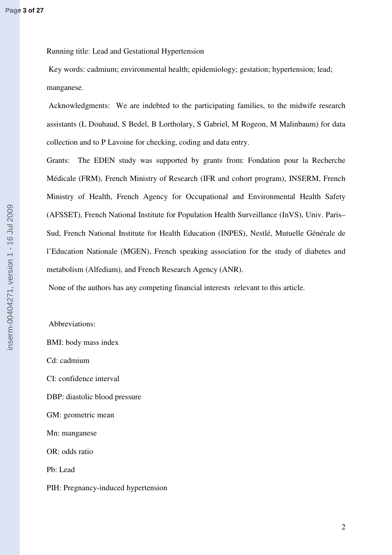Running title: Lead and Gestational Hypertension

 Key words: cadmium; environmental health; epidemiology; gestation; hypertension; lead; manganese.

 Acknowledgments:We are indebted to the participating families, to the midwife research assistants (L Douhaud, S Bedel, B Lortholary, S Gabriel, M Rogeon, M Malinbaum) for data collection and to P Lavoine for checking, coding and data entry.

Grants: The EDEN study was supported by grants from: Fondation pour la Recherche Médicale (FRM), French Ministry of Research (IFR and cohort program), INSERM, French Ministry of Health, French Agency for Occupational and Environmental Health Safety (AFSSET), French National Institute for Population Health Surveillance (InVS), Univ. Paris– Sud, French National Institute for Health Education (INPES), Nestlé, Mutuelle Générale de l'Education Nationale (MGEN), French speaking association for the study of diabetes and metabolism (Alfediam), and French Research Agency (ANR).

None of the authors has any competing financial interests relevant to this article.

 Abbreviations: BMI: body mass index Cd: cadmium CI: confidence interval DBP: diastolic blood pressure GM: geometric mean Mn: manganese OR: odds ratio Pb: Lead PIH: Pregnancy-induced hypertension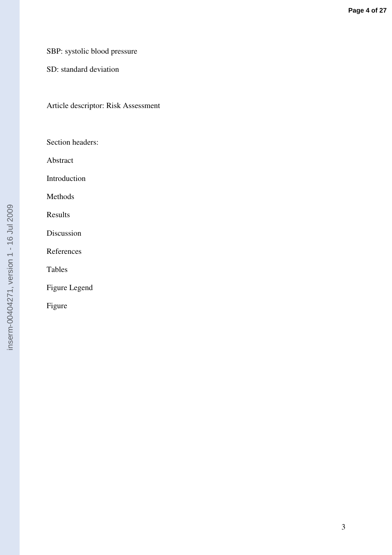## SBP: systolic blood pressure

SD: standard deviation

Article descriptor: Risk Assessment

Section headers:

Abstract

Introduction

Methods

Results

Discussion

References

Tables

Figure Legend

Figure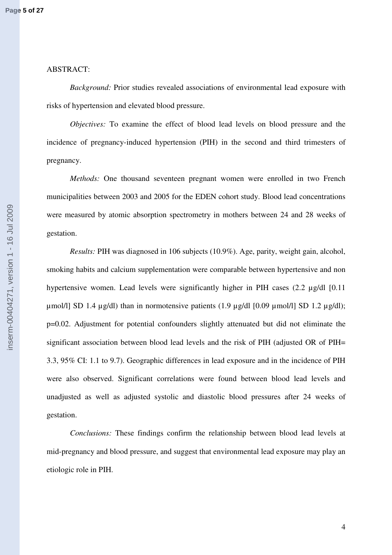## ABSTRACT:

*Background:* Prior studies revealed associations of environmental lead exposure with risks of hypertension and elevated blood pressure.

*Objectives:* To examine the effect of blood lead levels on blood pressure and the incidence of pregnancy-induced hypertension (PIH) in the second and third trimesters of pregnancy.

*Methods:* One thousand seventeen pregnant women were enrolled in two French municipalities between 2003 and 2005 for the EDEN cohort study. Blood lead concentrations were measured by atomic absorption spectrometry in mothers between 24 and 28 weeks of gestation.

*Results:* PIH was diagnosed in 106 subjects (10.9%). Age, parity, weight gain, alcohol, smoking habits and calcium supplementation were comparable between hypertensive and non hypertensive women. Lead levels were significantly higher in PIH cases (2.2 µg/dl [0.11]  $\mu$ mol/l] SD 1.4  $\mu$ g/dl) than in normotensive patients (1.9  $\mu$ g/dl [0.09  $\mu$ mol/l] SD 1.2  $\mu$ g/dl); p=0.02. Adjustment for potential confounders slightly attenuated but did not eliminate the significant association between blood lead levels and the risk of PIH (adjusted OR of PIH= 3.3, 95% CI: 1.1 to 9.7). Geographic differences in lead exposure and in the incidence of PIH were also observed. Significant correlations were found between blood lead levels and unadjusted as well as adjusted systolic and diastolic blood pressures after 24 weeks of gestation.

*Conclusions:* These findings confirm the relationship between blood lead levels at mid-pregnancy and blood pressure, and suggest that environmental lead exposure may play an etiologic role in PIH.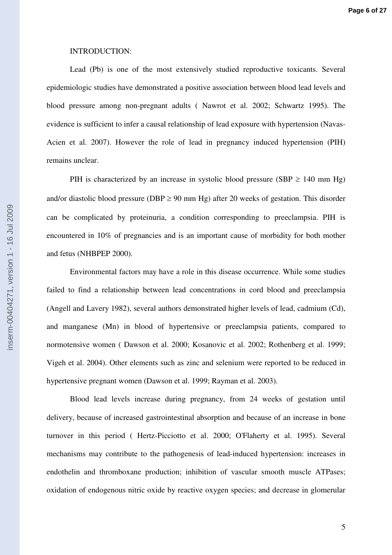## INTRODUCTION:

Lead (Pb) is one of the most extensively studied reproductive toxicants. Several epidemiologic studies have demonstrated a positive association between blood lead levels and blood pressure among non-pregnant adults ( Nawrot et al. 2002; Schwartz 1995). The evidence is sufficient to infer a causal relationship of lead exposure with hypertension (Navas-Acien et al. 2007). However the role of lead in pregnancy induced hypertension (PIH) remains unclear.

PIH is characterized by an increase in systolic blood pressure (SBP  $\geq$  140 mm Hg) and/or diastolic blood pressure (DBP  $\geq$  90 mm Hg) after 20 weeks of gestation. This disorder can be complicated by proteinuria, a condition corresponding to preeclampsia. PIH is encountered in 10% of pregnancies and is an important cause of morbidity for both mother and fetus (NHBPEP 2000).

Environmental factors may have a role in this disease occurrence. While some studies failed to find a relationship between lead concentrations in cord blood and preeclampsia (Angell and Lavery 1982), several authors demonstrated higher levels of lead, cadmium (Cd), and manganese (Mn) in blood of hypertensive or preeclampsia patients, compared to normotensive women ( Dawson et al. 2000; Kosanovic et al. 2002; Rothenberg et al. 1999; Vigeh et al. 2004). Other elements such as zinc and selenium were reported to be reduced in hypertensive pregnant women (Dawson et al. 1999; Rayman et al. 2003).

Blood lead levels increase during pregnancy, from 24 weeks of gestation until delivery, because of increased gastrointestinal absorption and because of an increase in bone turnover in this period ( Hertz-Picciotto et al. 2000; O'Flaherty et al. 1995). Several mechanisms may contribute to the pathogenesis of lead-induced hypertension: increases in endothelin and thromboxane production; inhibition of vascular smooth muscle ATPases; oxidation of endogenous nitric oxide by reactive oxygen species; and decrease in glomerular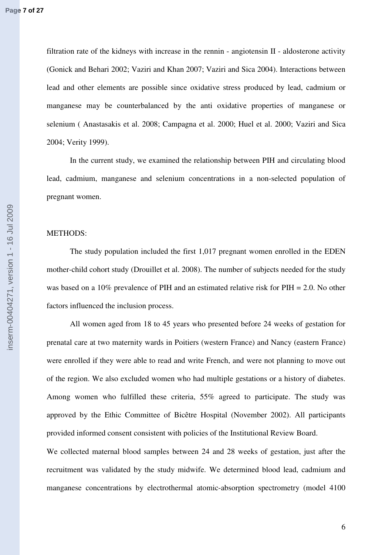filtration rate of the kidneys with increase in the rennin - angiotensin II - aldosterone activity (Gonick and Behari 2002; Vaziri and Khan 2007; Vaziri and Sica 2004). Interactions between lead and other elements are possible since oxidative stress produced by lead, cadmium or manganese may be counterbalanced by the anti oxidative properties of manganese or selenium ( Anastasakis et al. 2008; Campagna et al. 2000; Huel et al. 2000; Vaziri and Sica 2004; Verity 1999).

In the current study, we examined the relationship between PIH and circulating blood lead, cadmium, manganese and selenium concentrations in a non-selected population of pregnant women.

#### METHODS:

The study population included the first 1,017 pregnant women enrolled in the EDEN mother-child cohort study (Drouillet et al. 2008). The number of subjects needed for the study was based on a 10% prevalence of PIH and an estimated relative risk for PIH = 2.0. No other factors influenced the inclusion process.

All women aged from 18 to 45 years who presented before 24 weeks of gestation for prenatal care at two maternity wards in Poitiers (western France) and Nancy (eastern France) were enrolled if they were able to read and write French, and were not planning to move out of the region. We also excluded women who had multiple gestations or a history of diabetes. Among women who fulfilled these criteria, 55% agreed to participate. The study was approved by the Ethic Committee of Bicêtre Hospital (November 2002). All participants provided informed consent consistent with policies of the Institutional Review Board.

We collected maternal blood samples between 24 and 28 weeks of gestation, just after the recruitment was validated by the study midwife. We determined blood lead, cadmium and manganese concentrations by electrothermal atomic-absorption spectrometry (model 4100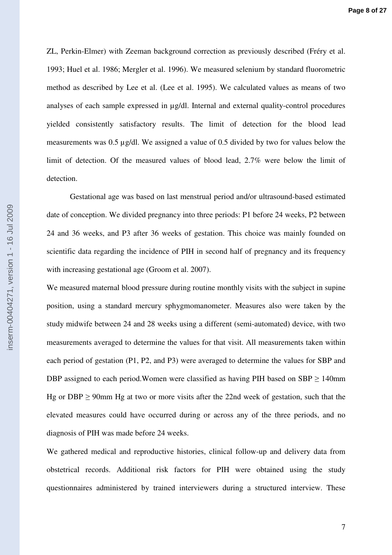ZL, Perkin-Elmer) with Zeeman background correction as previously described (Fréry et al. 1993; Huel et al. 1986; Mergler et al. 1996). We measured selenium by standard fluorometric method as described by Lee et al. (Lee et al. 1995). We calculated values as means of two analyses of each sample expressed in µg/dl. Internal and external quality-control procedures yielded consistently satisfactory results. The limit of detection for the blood lead measurements was 0.5 µg/dl. We assigned a value of 0.5 divided by two for values below the limit of detection. Of the measured values of blood lead, 2.7% were below the limit of detection.

Gestational age was based on last menstrual period and/or ultrasound-based estimated date of conception. We divided pregnancy into three periods: P1 before 24 weeks, P2 between 24 and 36 weeks, and P3 after 36 weeks of gestation. This choice was mainly founded on scientific data regarding the incidence of PIH in second half of pregnancy and its frequency with increasing gestational age (Groom et al. 2007).

We measured maternal blood pressure during routine monthly visits with the subject in supine position, using a standard mercury sphygmomanometer. Measures also were taken by the study midwife between 24 and 28 weeks using a different (semi-automated) device, with two measurements averaged to determine the values for that visit. All measurements taken within each period of gestation (P1, P2, and P3) were averaged to determine the values for SBP and DBP assigned to each period. Women were classified as having PIH based on  $SBP \ge 140$ mm Hg or DBP  $\geq$  90mm Hg at two or more visits after the 22nd week of gestation, such that the elevated measures could have occurred during or across any of the three periods, and no diagnosis of PIH was made before 24 weeks.

We gathered medical and reproductive histories, clinical follow-up and delivery data from obstetrical records. Additional risk factors for PIH were obtained using the study questionnaires administered by trained interviewers during a structured interview. These

nserm-00404271, version 1 - 16 Jul 2009 inserm-00404271, version 1 - 16 Jul 2009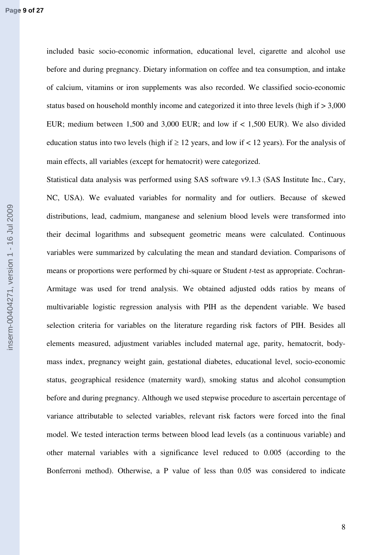included basic socio-economic information, educational level, cigarette and alcohol use before and during pregnancy. Dietary information on coffee and tea consumption, and intake of calcium, vitamins or iron supplements was also recorded. We classified socio-economic status based on household monthly income and categorized it into three levels (high if > 3,000 EUR; medium between 1,500 and 3,000 EUR; and low if < 1,500 EUR). We also divided education status into two levels (high if  $\geq 12$  years, and low if < 12 years). For the analysis of main effects, all variables (except for hematocrit) were categorized.

Statistical data analysis was performed using SAS software v9.1.3 (SAS Institute Inc., Cary, NC, USA). We evaluated variables for normality and for outliers. Because of skewed distributions, lead, cadmium, manganese and selenium blood levels were transformed into their decimal logarithms and subsequent geometric means were calculated. Continuous variables were summarized by calculating the mean and standard deviation. Comparisons of means or proportions were performed by chi-square or Student *t*-test as appropriate. Cochran-Armitage was used for trend analysis. We obtained adjusted odds ratios by means of multivariable logistic regression analysis with PIH as the dependent variable. We based selection criteria for variables on the literature regarding risk factors of PIH. Besides all elements measured, adjustment variables included maternal age, parity, hematocrit, bodymass index, pregnancy weight gain, gestational diabetes, educational level, socio-economic status, geographical residence (maternity ward), smoking status and alcohol consumption before and during pregnancy. Although we used stepwise procedure to ascertain percentage of variance attributable to selected variables, relevant risk factors were forced into the final model. We tested interaction terms between blood lead levels (as a continuous variable) and other maternal variables with a significance level reduced to 0.005 (according to the Bonferroni method). Otherwise, a P value of less than 0.05 was considered to indicate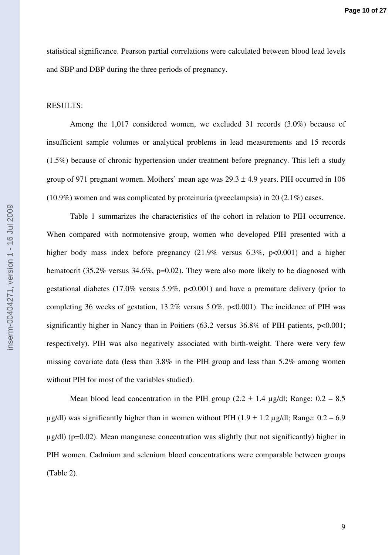statistical significance. Pearson partial correlations were calculated between blood lead levels and SBP and DBP during the three periods of pregnancy.

## RESULTS:

Among the 1,017 considered women, we excluded 31 records (3.0%) because of insufficient sample volumes or analytical problems in lead measurements and 15 records (1.5%) because of chronic hypertension under treatment before pregnancy. This left a study group of 971 pregnant women. Mothers' mean age was  $29.3 \pm 4.9$  years. PIH occurred in 106 (10.9%) women and was complicated by proteinuria (preeclampsia) in 20 (2.1%) cases.

 Table 1 summarizes the characteristics of the cohort in relation to PIH occurrence. When compared with normotensive group, women who developed PIH presented with a higher body mass index before pregnancy (21.9% versus 6.3%, p<0.001) and a higher hematocrit (35.2% versus 34.6%, p=0.02). They were also more likely to be diagnosed with gestational diabetes (17.0% versus 5.9%, p<0.001) and have a premature delivery (prior to completing 36 weeks of gestation,  $13.2\%$  versus  $5.0\%$ ,  $p<0.001$ ). The incidence of PIH was significantly higher in Nancy than in Poitiers (63.2 versus 36.8% of PIH patients,  $p<0.001$ ; respectively). PIH was also negatively associated with birth-weight. There were very few missing covariate data (less than 3.8% in the PIH group and less than 5.2% among women without PIH for most of the variables studied).

Mean blood lead concentration in the PIH group (2.2  $\pm$  1.4 µg/dl; Range: 0.2 – 8.5  $\mu$ g/dl) was significantly higher than in women without PIH (1.9 ± 1.2  $\mu$ g/dl; Range: 0.2 – 6.9  $\mu$ g/dl) (p=0.02). Mean manganese concentration was slightly (but not significantly) higher in PIH women. Cadmium and selenium blood concentrations were comparable between groups (Table 2).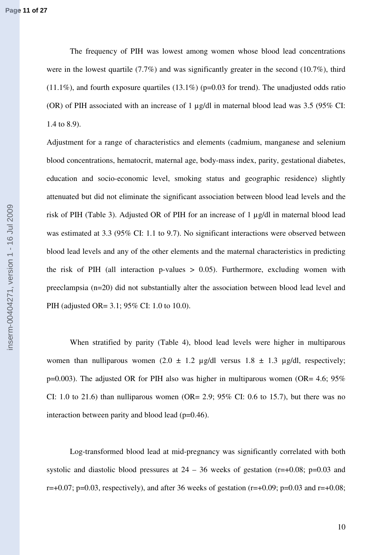The frequency of PIH was lowest among women whose blood lead concentrations were in the lowest quartile (7.7%) and was significantly greater in the second (10.7%), third  $(11.1\%)$ , and fourth exposure quartiles  $(13.1\%)$  (p=0.03 for trend). The unadjusted odds ratio (OR) of PIH associated with an increase of 1 µg/dl in maternal blood lead was 3.5 (95% CI: 1.4 to 8.9).

Adjustment for a range of characteristics and elements (cadmium, manganese and selenium blood concentrations, hematocrit, maternal age, body-mass index, parity, gestational diabetes, education and socio-economic level, smoking status and geographic residence) slightly attenuated but did not eliminate the significant association between blood lead levels and the risk of PIH (Table 3). Adjusted OR of PIH for an increase of 1 µg/dl in maternal blood lead was estimated at 3.3 (95% CI: 1.1 to 9.7). No significant interactions were observed between blood lead levels and any of the other elements and the maternal characteristics in predicting the risk of PIH (all interaction p-values  $> 0.05$ ). Furthermore, excluding women with preeclampsia (n=20) did not substantially alter the association between blood lead level and PIH (adjusted OR= 3.1; 95% CI: 1.0 to 10.0).

When stratified by parity (Table 4), blood lead levels were higher in multiparous women than nulliparous women  $(2.0 \pm 1.2 \text{ µg/dl} \text{ versus } 1.8 \pm 1.3 \text{ µg/dl} \text{, respectively};$  $p=0.003$ ). The adjusted OR for PIH also was higher in multiparous women (OR= 4.6; 95%) CI: 1.0 to 21.6) than nulliparous women (OR= 2.9; 95% CI: 0.6 to 15.7), but there was no interaction between parity and blood lead (p=0.46).

Log-transformed blood lead at mid-pregnancy was significantly correlated with both systolic and diastolic blood pressures at  $24 - 36$  weeks of gestation (r=+0.08; p=0.03 and  $r=+0.07$ ; p=0.03, respectively), and after 36 weeks of gestation ( $r=+0.09$ ; p=0.03 and  $r=+0.08$ ;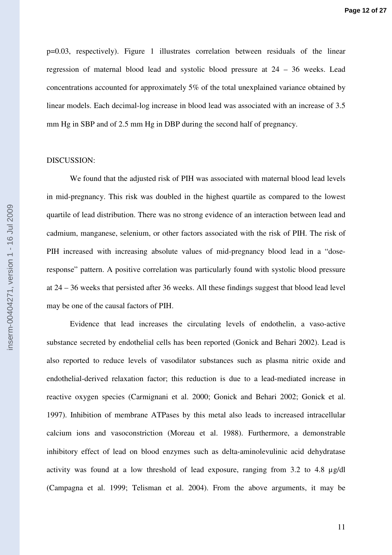p=0.03, respectively). Figure 1 illustrates correlation between residuals of the linear regression of maternal blood lead and systolic blood pressure at 24 – 36 weeks. Lead concentrations accounted for approximately 5% of the total unexplained variance obtained by linear models. Each decimal-log increase in blood lead was associated with an increase of 3.5 mm Hg in SBP and of 2.5 mm Hg in DBP during the second half of pregnancy.

#### DISCUSSION:

We found that the adjusted risk of PIH was associated with maternal blood lead levels in mid-pregnancy. This risk was doubled in the highest quartile as compared to the lowest quartile of lead distribution. There was no strong evidence of an interaction between lead and cadmium, manganese, selenium, or other factors associated with the risk of PIH. The risk of PIH increased with increasing absolute values of mid-pregnancy blood lead in a "doseresponse" pattern. A positive correlation was particularly found with systolic blood pressure at 24 – 36 weeks that persisted after 36 weeks. All these findings suggest that blood lead level may be one of the causal factors of PIH.

Evidence that lead increases the circulating levels of endothelin, a vaso-active substance secreted by endothelial cells has been reported (Gonick and Behari 2002). Lead is also reported to reduce levels of vasodilator substances such as plasma nitric oxide and endothelial-derived relaxation factor; this reduction is due to a lead-mediated increase in reactive oxygen species (Carmignani et al. 2000; Gonick and Behari 2002; Gonick et al. 1997). Inhibition of membrane ATPases by this metal also leads to increased intracellular calcium ions and vasoconstriction (Moreau et al. 1988). Furthermore, a demonstrable inhibitory effect of lead on blood enzymes such as delta-aminolevulinic acid dehydratase activity was found at a low threshold of lead exposure, ranging from 3.2 to 4.8 µg/dl (Campagna et al. 1999; Telisman et al. 2004). From the above arguments, it may be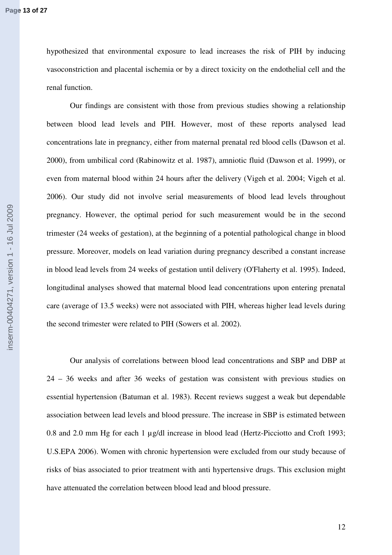hypothesized that environmental exposure to lead increases the risk of PIH by inducing vasoconstriction and placental ischemia or by a direct toxicity on the endothelial cell and the renal function.

Our findings are consistent with those from previous studies showing a relationship between blood lead levels and PIH. However, most of these reports analysed lead concentrations late in pregnancy, either from maternal prenatal red blood cells (Dawson et al. 2000), from umbilical cord (Rabinowitz et al. 1987), amniotic fluid (Dawson et al. 1999), or even from maternal blood within 24 hours after the delivery (Vigeh et al. 2004; Vigeh et al. 2006). Our study did not involve serial measurements of blood lead levels throughout pregnancy. However, the optimal period for such measurement would be in the second trimester (24 weeks of gestation), at the beginning of a potential pathological change in blood pressure. Moreover, models on lead variation during pregnancy described a constant increase in blood lead levels from 24 weeks of gestation until delivery (O'Flaherty et al. 1995). Indeed, longitudinal analyses showed that maternal blood lead concentrations upon entering prenatal care (average of 13.5 weeks) were not associated with PIH, whereas higher lead levels during the second trimester were related to PIH (Sowers et al. 2002).

Our analysis of correlations between blood lead concentrations and SBP and DBP at 24 – 36 weeks and after 36 weeks of gestation was consistent with previous studies on essential hypertension (Batuman et al. 1983). Recent reviews suggest a weak but dependable association between lead levels and blood pressure. The increase in SBP is estimated between 0.8 and 2.0 mm Hg for each 1 µg/dl increase in blood lead (Hertz-Picciotto and Croft 1993; U.S.EPA 2006). Women with chronic hypertension were excluded from our study because of risks of bias associated to prior treatment with anti hypertensive drugs. This exclusion might have attenuated the correlation between blood lead and blood pressure.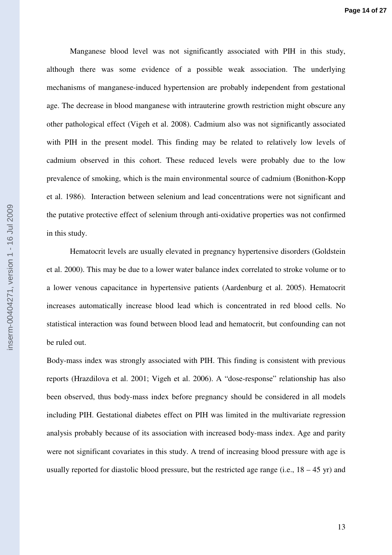Manganese blood level was not significantly associated with PIH in this study, although there was some evidence of a possible weak association. The underlying mechanisms of manganese-induced hypertension are probably independent from gestational age. The decrease in blood manganese with intrauterine growth restriction might obscure any other pathological effect (Vigeh et al. 2008). Cadmium also was not significantly associated with PIH in the present model. This finding may be related to relatively low levels of cadmium observed in this cohort. These reduced levels were probably due to the low prevalence of smoking, which is the main environmental source of cadmium (Bonithon-Kopp et al. 1986). Interaction between selenium and lead concentrations were not significant and the putative protective effect of selenium through anti-oxidative properties was not confirmed in this study.

Hematocrit levels are usually elevated in pregnancy hypertensive disorders (Goldstein et al. 2000). This may be due to a lower water balance index correlated to stroke volume or to a lower venous capacitance in hypertensive patients (Aardenburg et al. 2005). Hematocrit increases automatically increase blood lead which is concentrated in red blood cells. No statistical interaction was found between blood lead and hematocrit, but confounding can not be ruled out.

Body-mass index was strongly associated with PIH. This finding is consistent with previous reports (Hrazdilova et al. 2001; Vigeh et al. 2006). A "dose-response" relationship has also been observed, thus body-mass index before pregnancy should be considered in all models including PIH. Gestational diabetes effect on PIH was limited in the multivariate regression analysis probably because of its association with increased body-mass index. Age and parity were not significant covariates in this study. A trend of increasing blood pressure with age is usually reported for diastolic blood pressure, but the restricted age range (i.e.,  $18 - 45$  yr) and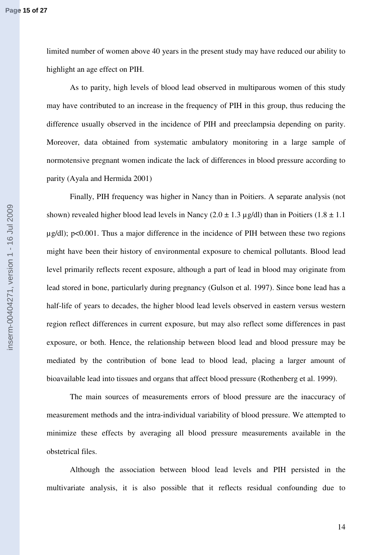limited number of women above 40 years in the present study may have reduced our ability to highlight an age effect on PIH.

As to parity, high levels of blood lead observed in multiparous women of this study may have contributed to an increase in the frequency of PIH in this group, thus reducing the difference usually observed in the incidence of PIH and preeclampsia depending on parity. Moreover, data obtained from systematic ambulatory monitoring in a large sample of normotensive pregnant women indicate the lack of differences in blood pressure according to parity (Ayala and Hermida 2001)

Finally, PIH frequency was higher in Nancy than in Poitiers. A separate analysis (not shown) revealed higher blood lead levels in Nancy  $(2.0 \pm 1.3 \,\mu$  g/dl) than in Poitiers  $(1.8 \pm 1.1 \,\mu$  $\mu$ g/dl); p<0.001. Thus a major difference in the incidence of PIH between these two regions might have been their history of environmental exposure to chemical pollutants. Blood lead level primarily reflects recent exposure, although a part of lead in blood may originate from lead stored in bone, particularly during pregnancy (Gulson et al. 1997). Since bone lead has a half-life of years to decades, the higher blood lead levels observed in eastern versus western region reflect differences in current exposure, but may also reflect some differences in past exposure, or both. Hence, the relationship between blood lead and blood pressure may be mediated by the contribution of bone lead to blood lead, placing a larger amount of bioavailable lead into tissues and organs that affect blood pressure (Rothenberg et al. 1999).

The main sources of measurements errors of blood pressure are the inaccuracy of measurement methods and the intra-individual variability of blood pressure. We attempted to minimize these effects by averaging all blood pressure measurements available in the obstetrical files.

Although the association between blood lead levels and PIH persisted in the multivariate analysis, it is also possible that it reflects residual confounding due to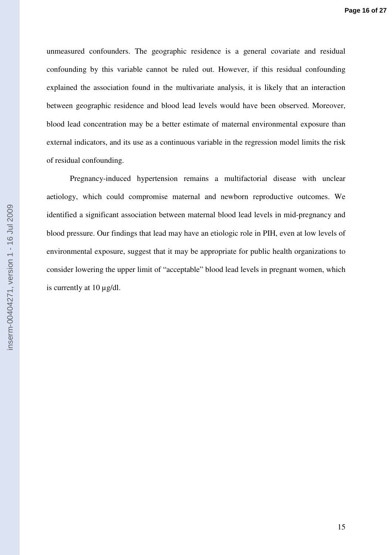unmeasured confounders. The geographic residence is a general covariate and residual confounding by this variable cannot be ruled out. However, if this residual confounding explained the association found in the multivariate analysis, it is likely that an interaction between geographic residence and blood lead levels would have been observed. Moreover, blood lead concentration may be a better estimate of maternal environmental exposure than external indicators, and its use as a continuous variable in the regression model limits the risk of residual confounding.

Pregnancy-induced hypertension remains a multifactorial disease with unclear aetiology, which could compromise maternal and newborn reproductive outcomes. We identified a significant association between maternal blood lead levels in mid-pregnancy and blood pressure. Our findings that lead may have an etiologic role in PIH, even at low levels of environmental exposure, suggest that it may be appropriate for public health organizations to consider lowering the upper limit of "acceptable" blood lead levels in pregnant women, which is currently at  $10 \mu g/dl$ .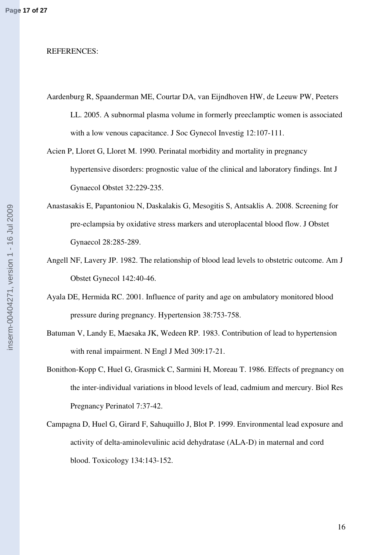#### REFERENCES:

- Aardenburg R, Spaanderman ME, Courtar DA, van Eijndhoven HW, de Leeuw PW, Peeters LL. 2005. A subnormal plasma volume in formerly preeclamptic women is associated with a low venous capacitance. J Soc Gynecol Investig 12:107-111.
- Acien P, Lloret G, Lloret M. 1990. Perinatal morbidity and mortality in pregnancy hypertensive disorders: prognostic value of the clinical and laboratory findings. Int J Gynaecol Obstet 32:229-235.
- Anastasakis E, Papantoniou N, Daskalakis G, Mesogitis S, Antsaklis A. 2008. Screening for pre-eclampsia by oxidative stress markers and uteroplacental blood flow. J Obstet Gynaecol 28:285-289.
- Angell NF, Lavery JP. 1982. The relationship of blood lead levels to obstetric outcome. Am J Obstet Gynecol 142:40-46.
- Ayala DE, Hermida RC. 2001. Influence of parity and age on ambulatory monitored blood pressure during pregnancy. Hypertension 38:753-758.
- Batuman V, Landy E, Maesaka JK, Wedeen RP. 1983. Contribution of lead to hypertension with renal impairment. N Engl J Med 309:17-21.
- Bonithon-Kopp C, Huel G, Grasmick C, Sarmini H, Moreau T. 1986. Effects of pregnancy on the inter-individual variations in blood levels of lead, cadmium and mercury. Biol Res Pregnancy Perinatol 7:37-42.
- Campagna D, Huel G, Girard F, Sahuquillo J, Blot P. 1999. Environmental lead exposure and activity of delta-aminolevulinic acid dehydratase (ALA-D) in maternal and cord blood. Toxicology 134:143-152.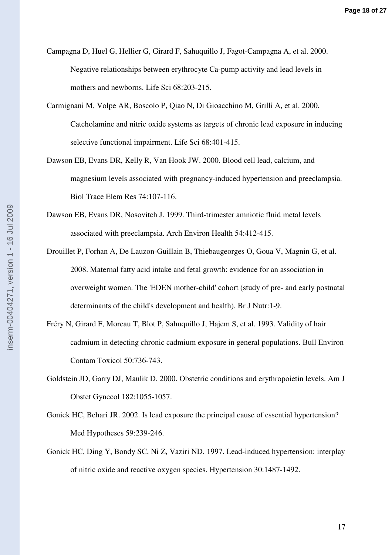- Campagna D, Huel G, Hellier G, Girard F, Sahuquillo J, Fagot-Campagna A, et al. 2000. Negative relationships between erythrocyte Ca-pump activity and lead levels in mothers and newborns. Life Sci 68:203-215.
- Carmignani M, Volpe AR, Boscolo P, Qiao N, Di Gioacchino M, Grilli A, et al. 2000. Catcholamine and nitric oxide systems as targets of chronic lead exposure in inducing selective functional impairment. Life Sci 68:401-415.
- Dawson EB, Evans DR, Kelly R, Van Hook JW. 2000. Blood cell lead, calcium, and magnesium levels associated with pregnancy-induced hypertension and preeclampsia. Biol Trace Elem Res 74:107-116.
- Dawson EB, Evans DR, Nosovitch J. 1999. Third-trimester amniotic fluid metal levels associated with preeclampsia. Arch Environ Health 54:412-415.
- Drouillet P, Forhan A, De Lauzon-Guillain B, Thiebaugeorges O, Goua V, Magnin G, et al. 2008. Maternal fatty acid intake and fetal growth: evidence for an association in overweight women. The 'EDEN mother-child' cohort (study of pre- and early postnatal determinants of the child's development and health). Br J Nutr:1-9.
- Fréry N, Girard F, Moreau T, Blot P, Sahuquillo J, Hajem S, et al. 1993. Validity of hair cadmium in detecting chronic cadmium exposure in general populations. Bull Environ Contam Toxicol 50:736-743.
- Goldstein JD, Garry DJ, Maulik D. 2000. Obstetric conditions and erythropoietin levels. Am J Obstet Gynecol 182:1055-1057.
- Gonick HC, Behari JR. 2002. Is lead exposure the principal cause of essential hypertension? Med Hypotheses 59:239-246.
- Gonick HC, Ding Y, Bondy SC, Ni Z, Vaziri ND. 1997. Lead-induced hypertension: interplay of nitric oxide and reactive oxygen species. Hypertension 30:1487-1492.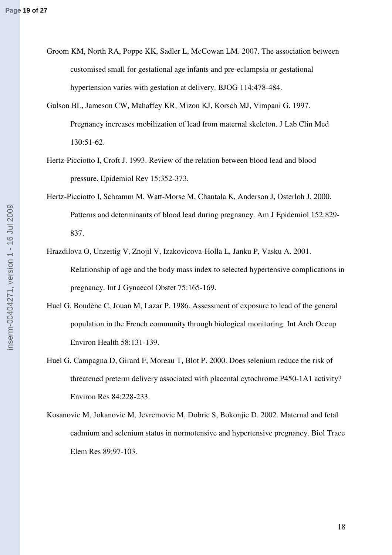- Groom KM, North RA, Poppe KK, Sadler L, McCowan LM. 2007. The association between customised small for gestational age infants and pre-eclampsia or gestational hypertension varies with gestation at delivery. BJOG 114:478-484.
- Gulson BL, Jameson CW, Mahaffey KR, Mizon KJ, Korsch MJ, Vimpani G. 1997. Pregnancy increases mobilization of lead from maternal skeleton. J Lab Clin Med 130:51-62.
- Hertz-Picciotto I, Croft J. 1993. Review of the relation between blood lead and blood pressure. Epidemiol Rev 15:352-373.
- Hertz-Picciotto I, Schramm M, Watt-Morse M, Chantala K, Anderson J, Osterloh J. 2000. Patterns and determinants of blood lead during pregnancy. Am J Epidemiol 152:829- 837.
- Hrazdilova O, Unzeitig V, Znojil V, Izakovicova-Holla L, Janku P, Vasku A. 2001. Relationship of age and the body mass index to selected hypertensive complications in pregnancy. Int J Gynaecol Obstet 75:165-169.
- Huel G, Boudène C, Jouan M, Lazar P. 1986. Assessment of exposure to lead of the general population in the French community through biological monitoring. Int Arch Occup Environ Health 58:131-139.
- Huel G, Campagna D, Girard F, Moreau T, Blot P. 2000. Does selenium reduce the risk of threatened preterm delivery associated with placental cytochrome P450-1A1 activity? Environ Res 84:228-233.
- Kosanovic M, Jokanovic M, Jevremovic M, Dobric S, Bokonjic D. 2002. Maternal and fetal cadmium and selenium status in normotensive and hypertensive pregnancy. Biol Trace Elem Res 89:97-103.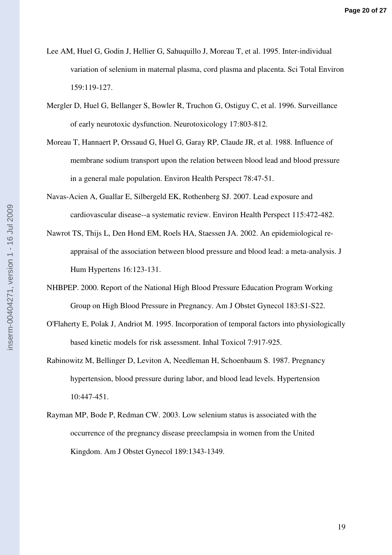- Lee AM, Huel G, Godin J, Hellier G, Sahuquillo J, Moreau T, et al. 1995. Inter-individual variation of selenium in maternal plasma, cord plasma and placenta. Sci Total Environ 159:119-127.
- Mergler D, Huel G, Bellanger S, Bowler R, Truchon G, Ostiguy C, et al. 1996. Surveillance of early neurotoxic dysfunction. Neurotoxicology 17:803-812.
- Moreau T, Hannaert P, Orssaud G, Huel G, Garay RP, Claude JR, et al. 1988. Influence of membrane sodium transport upon the relation between blood lead and blood pressure in a general male population. Environ Health Perspect 78:47-51.
- Navas-Acien A, Guallar E, Silbergeld EK, Rothenberg SJ. 2007. Lead exposure and cardiovascular disease--a systematic review. Environ Health Perspect 115:472-482.
- Nawrot TS, Thijs L, Den Hond EM, Roels HA, Staessen JA. 2002. An epidemiological reappraisal of the association between blood pressure and blood lead: a meta-analysis. J Hum Hypertens 16:123-131.
- NHBPEP. 2000. Report of the National High Blood Pressure Education Program Working Group on High Blood Pressure in Pregnancy. Am J Obstet Gynecol 183:S1-S22.
- O'Flaherty E, Polak J, Andriot M. 1995. Incorporation of temporal factors into physiologically based kinetic models for risk assessment. Inhal Toxicol 7:917-925.
- Rabinowitz M, Bellinger D, Leviton A, Needleman H, Schoenbaum S. 1987. Pregnancy hypertension, blood pressure during labor, and blood lead levels. Hypertension 10:447-451.
- Rayman MP, Bode P, Redman CW. 2003. Low selenium status is associated with the occurrence of the pregnancy disease preeclampsia in women from the United Kingdom. Am J Obstet Gynecol 189:1343-1349.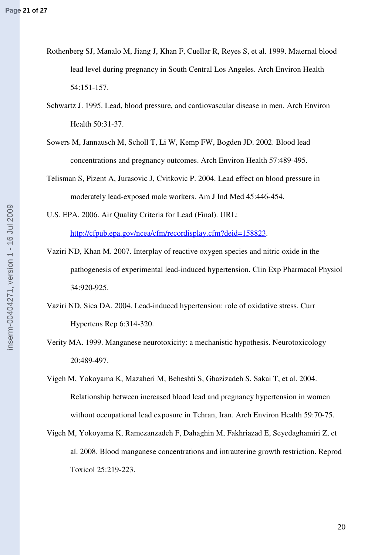- Rothenberg SJ, Manalo M, Jiang J, Khan F, Cuellar R, Reyes S, et al. 1999. Maternal blood lead level during pregnancy in South Central Los Angeles. Arch Environ Health 54:151-157.
- Schwartz J. 1995. Lead, blood pressure, and cardiovascular disease in men. Arch Environ Health 50:31-37.
- Sowers M, Jannausch M, Scholl T, Li W, Kemp FW, Bogden JD. 2002. Blood lead concentrations and pregnancy outcomes. Arch Environ Health 57:489-495.
- Telisman S, Pizent A, Jurasovic J, Cvitkovic P. 2004. Lead effect on blood pressure in moderately lead-exposed male workers. Am J Ind Med 45:446-454.
- U.S. EPA. 2006. Air Quality Criteria for Lead (Final). URL: <http://cfpub.epa.gov/ncea/cfm/recordisplay.cfm?deid=158823>.
- Vaziri ND, Khan M. 2007. Interplay of reactive oxygen species and nitric oxide in the pathogenesis of experimental lead-induced hypertension. Clin Exp Pharmacol Physiol 34:920-925.
- Vaziri ND, Sica DA. 2004. Lead-induced hypertension: role of oxidative stress. Curr Hypertens Rep 6:314-320.
- Verity MA. 1999. Manganese neurotoxicity: a mechanistic hypothesis. Neurotoxicology 20:489-497.
- Vigeh M, Yokoyama K, Mazaheri M, Beheshti S, Ghazizadeh S, Sakai T, et al. 2004. Relationship between increased blood lead and pregnancy hypertension in women without occupational lead exposure in Tehran, Iran. Arch Environ Health 59:70-75.
- Vigeh M, Yokoyama K, Ramezanzadeh F, Dahaghin M, Fakhriazad E, Seyedaghamiri Z, et al. 2008. Blood manganese concentrations and intrauterine growth restriction. Reprod Toxicol 25:219-223.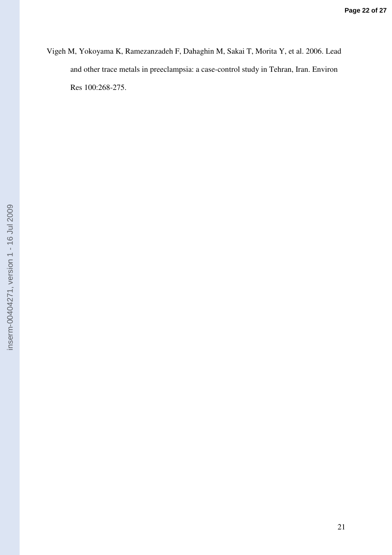Vigeh M, Yokoyama K, Ramezanzadeh F, Dahaghin M, Sakai T, Morita Y, et al. 2006. Lead and other trace metals in preeclampsia: a case-control study in Tehran, Iran. Environ Res 100:268-275.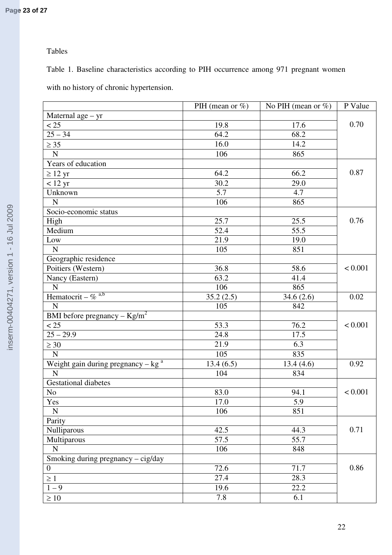# Tables

Table 1. Baseline characteristics according to PIH occurrence among 971 pregnant women

with no history of chronic hypertension.

|                                                  | PIH (mean or $\%$ ) | No PIH (mean or $\%$ ) | P Value |
|--------------------------------------------------|---------------------|------------------------|---------|
| Maternal $age - yr$                              |                     |                        |         |
| < 25                                             | 19.8                | 17.6                   | 0.70    |
| $25 - 34$                                        | 64.2                | 68.2                   |         |
| $\geq 35$                                        | 16.0                | 14.2                   |         |
| $\mathbf N$                                      | 106                 | 865                    |         |
| Years of education                               |                     |                        |         |
| $\geq 12$ yr                                     | 64.2                | 66.2                   | 0.87    |
| $< 12 \text{ yr}$                                | 30.2                | 29.0                   |         |
| Unknown                                          | 5.7                 | 4.7                    |         |
| $\mathbf N$                                      | 106                 | 865                    |         |
| Socio-economic status                            |                     |                        |         |
| High                                             | 25.7                | 25.5                   | 0.76    |
| Medium                                           | 52.4                | 55.5                   |         |
| $_{\text{Low}}$                                  | 21.9                | 19.0                   |         |
| ${\bf N}$                                        | 105                 | 851                    |         |
| Geographic residence                             |                     |                        |         |
| Poitiers (Western)                               | 36.8                | 58.6                   | < 0.001 |
| Nancy (Eastern)                                  | 63.2                | 41.4                   |         |
| $\mathbf N$                                      | 106                 | 865                    |         |
| Hematocrit – $\%$ <sup>a,b</sup>                 | 35.2(2.5)           | 34.6(2.6)              | 0.02    |
| $\mathbf N$                                      | 105                 | 842                    |         |
| BMI before pregnancy – $\text{Kg/m}^2$           |                     |                        |         |
| < 25                                             | 53.3                | 76.2                   | < 0.001 |
| $25 - 29.9$                                      | 24.8                | 17.5                   |         |
| $\geq 30$                                        | 21.9                | 6.3                    |         |
| $\mathbf N$                                      | 105                 | 835                    |         |
| Weight gain during pregnancy $-$ kg <sup>a</sup> | 13.4(6.5)           | 13.4(4.6)              | 0.92    |
| N                                                | 104                 | 834                    |         |
| <b>Gestational diabetes</b>                      |                     |                        |         |
| N <sub>o</sub>                                   | 83.0                | 94.1                   | < 0.001 |
| Yes                                              | 17.0                | 5.9                    |         |
| ${\bf N}$                                        | 106                 | 851                    |         |
| Parity                                           |                     |                        |         |
| Nulliparous                                      | 42.5                | 44.3                   | 0.71    |
| Multiparous                                      | 57.5                | 55.7                   |         |
| ${\bf N}$                                        | 106                 | 848                    |         |
| Smoking during pregnancy - cig/day               |                     |                        |         |
| $\boldsymbol{0}$                                 | 72.6                | 71.7                   | 0.86    |
| $\geq 1$                                         | 27.4                | 28.3                   |         |
| $1-\overline{9}$                                 | 19.6                | 22.2                   |         |
| $\geq 10$                                        | 7.8                 | 6.1                    |         |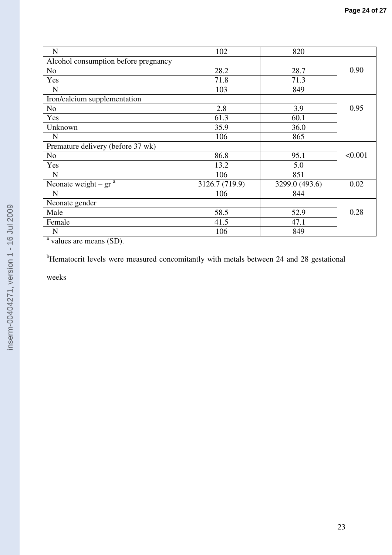| N                                    | 102            | 820            |         |
|--------------------------------------|----------------|----------------|---------|
| Alcohol consumption before pregnancy |                |                |         |
| No                                   | 28.2           | 28.7           | 0.90    |
| Yes                                  | 71.8           | 71.3           |         |
| $\mathbf N$                          | 103            | 849            |         |
| Iron/calcium supplementation         |                |                |         |
| N <sub>o</sub>                       | 2.8            | 3.9            | 0.95    |
| Yes                                  | 61.3           | 60.1           |         |
| Unknown                              | 35.9           | 36.0           |         |
| N                                    | 106            | 865            |         |
| Premature delivery (before 37 wk)    |                |                |         |
| No                                   | 86.8           | 95.1           | < 0.001 |
| Yes                                  | 13.2           | 5.0            |         |
| $\mathbf N$                          | 106            | 851            |         |
| Neonate weight – $gra$               | 3126.7 (719.9) | 3299.0 (493.6) | 0.02    |
| N                                    | 106            | 844            |         |
| Neonate gender                       |                |                |         |
| Male                                 | 58.5           | 52.9           | 0.28    |
| Female                               | 41.5           | 47.1           |         |
| N                                    | 106            | 849            |         |

values are means (SD).

<sup>b</sup>Hematocrit levels were measured concomitantly with metals between 24 and 28 gestational

weeks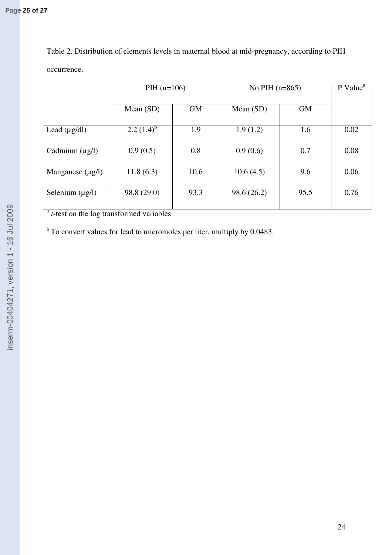Table 2. Distribution of elements levels in maternal blood at mid-pregnancy, according to PIH occurrence.

|                       | $PH (n=106)$    |           | No PIH $(n=865)$ |           | $P$ Value <sup>a</sup> |
|-----------------------|-----------------|-----------|------------------|-----------|------------------------|
|                       | Mean $(SD)$     | <b>GM</b> | Mean $(SD)$      | <b>GM</b> |                        |
| Lead $(\mu g/dl)$     | 2.2 $(1.4)^{b}$ | 1.9       | 1.9(1.2)         | 1.6       | 0.02                   |
| Cadmium $(\mu g/l)$   | 0.9(0.5)        | 0.8       | 0.9(0.6)         | 0.7       | 0.08                   |
| Manganese $(\mu g/l)$ | 11.8(6.3)       | 10.6      | 10.6(4.5)        | 9.6       | 0.06                   |
| Selenium $(\mu g/l)$  | 98.8 (29.0)     | 93.3      | 98.6 (26.2)      | 95.5      | 0.76                   |

<sup>a</sup> *t*-test on the log transformed variables

 $<sup>b</sup>$  To convert values for lead to micromoles per liter, multiply by 0.0483.</sup>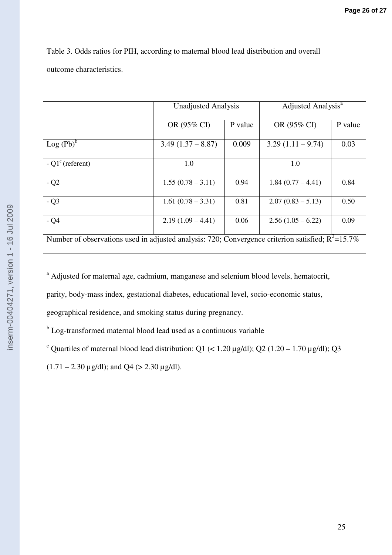|                          | Table 3. Odds ratios for PIH, according to maternal blood lead distribution and overall |
|--------------------------|-----------------------------------------------------------------------------------------|
| outcome characteristics. |                                                                                         |

|                                                                                                      | <b>Unadjusted Analysis</b> |         | Adjusted Analysis <sup>a</sup> |         |
|------------------------------------------------------------------------------------------------------|----------------------------|---------|--------------------------------|---------|
|                                                                                                      | OR (95% CI)                | P value | OR (95% CI)                    | P value |
| $Log (Pb)^b$                                                                                         | $3.49(1.37 - 8.87)$        | 0.009   | $3.29(1.11 - 9.74)$            | 0.03    |
| $-Q1c$ (referent)                                                                                    | 1.0                        |         | 1.0                            |         |
| $-Q2$                                                                                                | $1.55(0.78 - 3.11)$        | 0.94    | $1.84(0.77-4.41)$              | 0.84    |
| - Q3                                                                                                 | $1.61(0.78 - 3.31)$        | 0.81    | $2.07(0.83 - 5.13)$            | 0.50    |
| $-Q4$                                                                                                | $2.19(1.09 - 4.41)$        | 0.06    | $2.56(1.05-6.22)$              | 0.09    |
| Number of observations used in adjusted analysis: 720; Convergence criterion satisfied; $R^2$ =15.7% |                            |         |                                |         |

<sup>a</sup> Adjusted for maternal age, cadmium, manganese and selenium blood levels, hematocrit,

parity, body-mass index, gestational diabetes, educational level, socio-economic status,

geographical residence, and smoking status during pregnancy.

<sup>b</sup> Log-transformed maternal blood lead used as a continuous variable

<sup>c</sup> Quartiles of maternal blood lead distribution: Q1 (< 1.20  $\mu$ g/dl); Q2 (1.20 – 1.70  $\mu$ g/dl); Q3

 $(1.71 - 2.30 \,\mu\text{g/dl})$ ; and Q4 (> 2.30  $\mu\text{g/dl}$ ).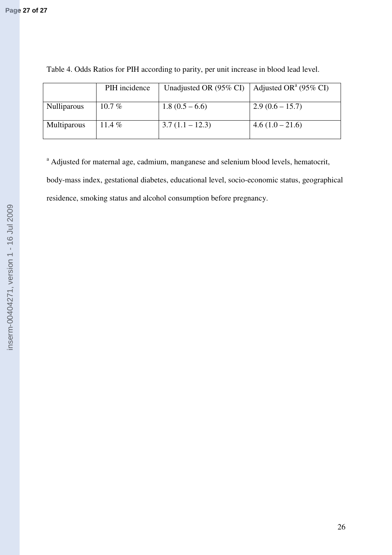|                    | PIH incidence | Unadjusted OR (95% CI) | Adjusted OR <sup>a</sup> (95% CI) |
|--------------------|---------------|------------------------|-----------------------------------|
| <b>Nulliparous</b> | $10.7\%$      | $1.8(0.5-6.6)$         | $2.9(0.6 - 15.7)$                 |
| <b>Multiparous</b> | 11.4 $%$      | $3.7(1.1 - 12.3)$      | $4.6(1.0-21.6)$                   |

Table 4. Odds Ratios for PIH according to parity, per unit increase in blood lead level.

<sup>a</sup> Adjusted for maternal age, cadmium, manganese and selenium blood levels, hematocrit, body-mass index, gestational diabetes, educational level, socio-economic status, geographical residence, smoking status and alcohol consumption before pregnancy.